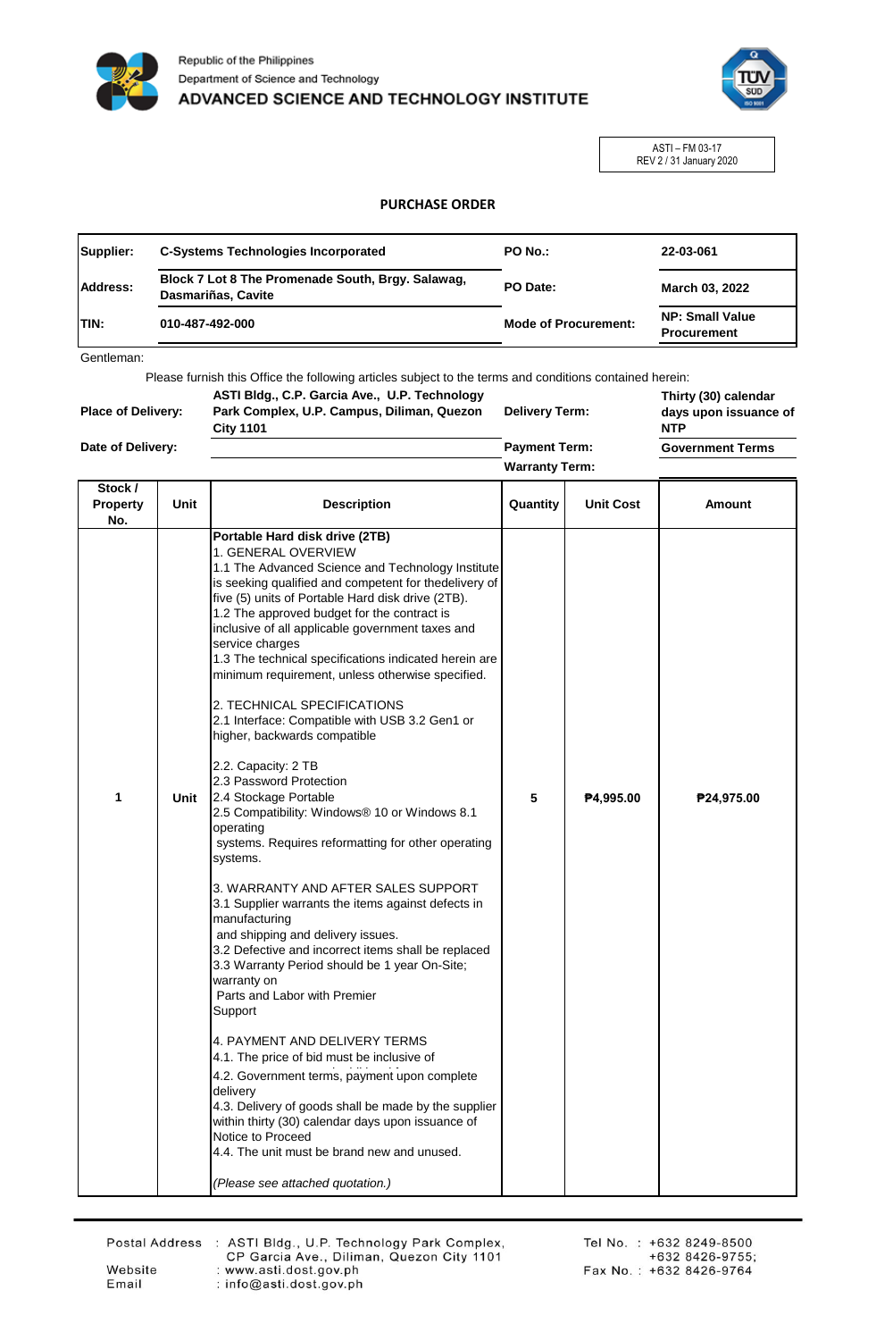



ASTI – FM 03-17 REV 2 / 31 January 2020

## **PURCHASE ORDER**

| Supplier:    | <b>C-Systems Technologies Incorporated</b>                              | <b>PO No.:</b>              | 22-03-061                                    |
|--------------|-------------------------------------------------------------------------|-----------------------------|----------------------------------------------|
| Address:     | Block 7 Lot 8 The Promenade South, Brgy. Salawag,<br>Dasmariñas, Cavite | PO Date:                    | March 03, 2022                               |
| <b>ITIN:</b> | 010-487-492-000                                                         | <b>Mode of Procurement:</b> | <b>NP: Small Value</b><br><b>Procurement</b> |

Gentleman:

Please furnish this Office the following articles subject to the terms and conditions contained herein:

| <b>Place of Delivery:</b> | ASTI Bldg., C.P. Garcia Ave., U.P. Technology<br>Park Complex, U.P. Campus, Diliman, Quezon<br><b>City 1101</b> | <b>Delivery Term:</b> |  | Thirty (30) calendar<br>days upon issuance of<br><b>NTP</b> |
|---------------------------|-----------------------------------------------------------------------------------------------------------------|-----------------------|--|-------------------------------------------------------------|
| Date of Delivery:         |                                                                                                                 | <b>Payment Term:</b>  |  | <b>Government Terms</b>                                     |
|                           |                                                                                                                 | <b>Warranty Term:</b> |  |                                                             |
| $C$ tool $l$              |                                                                                                                 |                       |  |                                                             |

| SIOCK /<br><b>Property</b><br>No. | Unit | <b>Description</b>                                                                                                                                                                                                                                                                                                                                                                                                                                                                                                                                                                                                                                                                                                                                                                                                                                                                                                                                                                                                                                                                                                                                                                                                                                                                                                                                                                                                                       | Quantity | <b>Unit Cost</b> | <b>Amount</b> |
|-----------------------------------|------|------------------------------------------------------------------------------------------------------------------------------------------------------------------------------------------------------------------------------------------------------------------------------------------------------------------------------------------------------------------------------------------------------------------------------------------------------------------------------------------------------------------------------------------------------------------------------------------------------------------------------------------------------------------------------------------------------------------------------------------------------------------------------------------------------------------------------------------------------------------------------------------------------------------------------------------------------------------------------------------------------------------------------------------------------------------------------------------------------------------------------------------------------------------------------------------------------------------------------------------------------------------------------------------------------------------------------------------------------------------------------------------------------------------------------------------|----------|------------------|---------------|
| 1                                 | Unit | Portable Hard disk drive (2TB)<br>1. GENERAL OVERVIEW<br>1.1 The Advanced Science and Technology Institute<br>is seeking qualified and competent for thedelivery of<br>five (5) units of Portable Hard disk drive (2TB).<br>1.2 The approved budget for the contract is<br>inclusive of all applicable government taxes and<br>service charges<br>1.3 The technical specifications indicated herein are<br>minimum requirement, unless otherwise specified.<br>2. TECHNICAL SPECIFICATIONS<br>2.1 Interface: Compatible with USB 3.2 Gen1 or<br>higher, backwards compatible<br>2.2. Capacity: 2 TB<br>2.3 Password Protection<br>2.4 Stockage Portable<br>2.5 Compatibility: Windows® 10 or Windows 8.1<br>operating<br>systems. Requires reformatting for other operating<br>systems.<br>3. WARRANTY AND AFTER SALES SUPPORT<br>3.1 Supplier warrants the items against defects in<br>manufacturing<br>and shipping and delivery issues.<br>3.2 Defective and incorrect items shall be replaced<br>3.3 Warranty Period should be 1 year On-Site;<br>warranty on<br>Parts and Labor with Premier<br>Support<br>4. PAYMENT AND DELIVERY TERMS<br>4.1. The price of bid must be inclusive of<br>4.2. Government terms, payment upon complete<br>delivery<br>4.3. Delivery of goods shall be made by the supplier<br>within thirty (30) calendar days upon issuance of<br>Notice to Proceed<br>4.4. The unit must be brand new and unused. | 5        | ₱4,995.00        | ₱24,975.00    |
|                                   |      | (Please see attached quotation.)                                                                                                                                                                                                                                                                                                                                                                                                                                                                                                                                                                                                                                                                                                                                                                                                                                                                                                                                                                                                                                                                                                                                                                                                                                                                                                                                                                                                         |          |                  |               |

Website

Email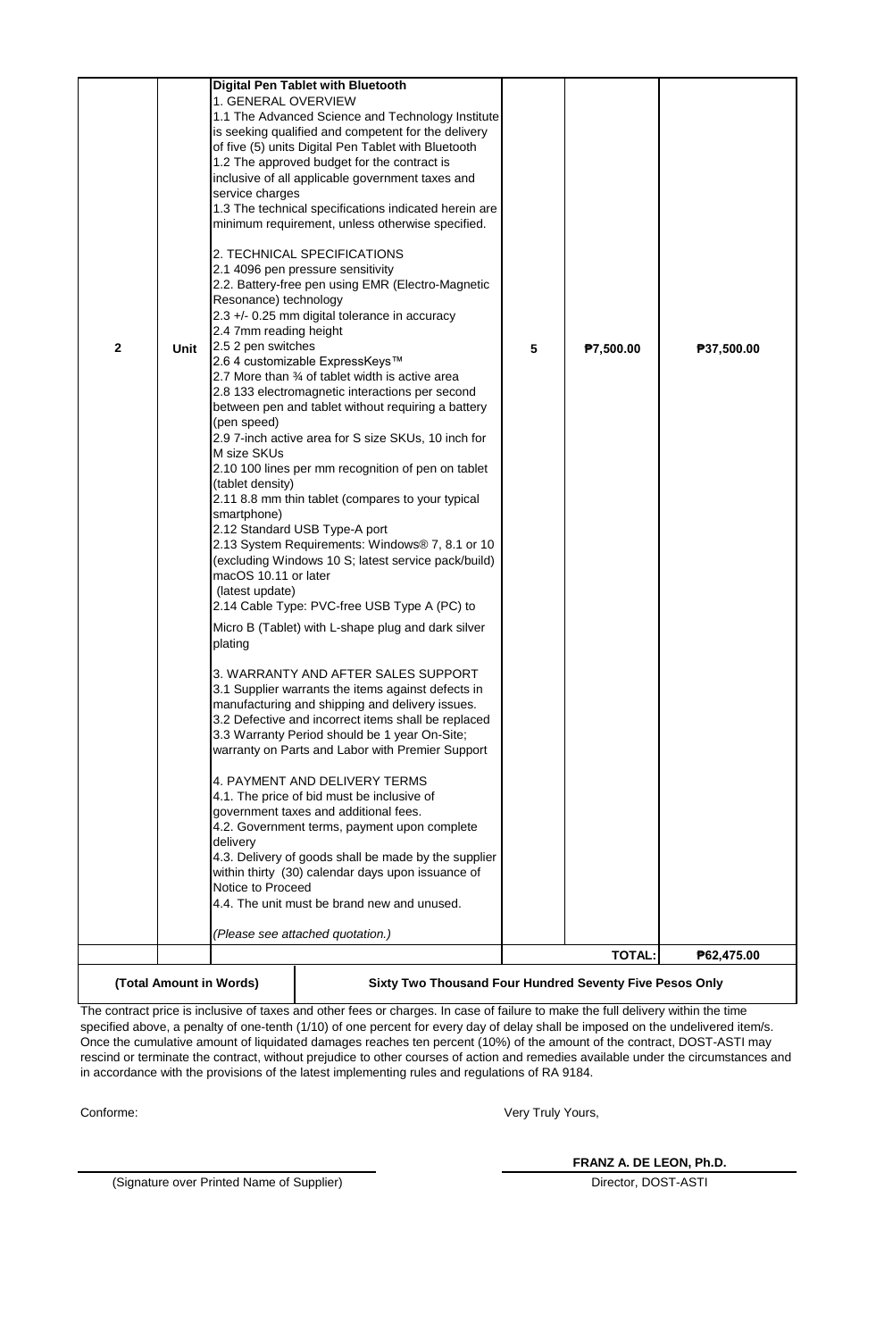|             |                                                                                    |                        | Digital Pen Tablet with Bluetooth                                                                         |                 |               |            |
|-------------|------------------------------------------------------------------------------------|------------------------|-----------------------------------------------------------------------------------------------------------|-----------------|---------------|------------|
|             |                                                                                    | 1. GENERAL OVERVIEW    | 1.1 The Advanced Science and Technology Institute                                                         |                 |               |            |
|             |                                                                                    |                        | is seeking qualified and competent for the delivery                                                       |                 |               |            |
|             |                                                                                    |                        | of five (5) units Digital Pen Tablet with Bluetooth                                                       |                 |               |            |
|             |                                                                                    |                        | 1.2 The approved budget for the contract is                                                               |                 |               |            |
|             |                                                                                    |                        | inclusive of all applicable government taxes and                                                          |                 |               |            |
|             |                                                                                    | service charges        |                                                                                                           |                 |               |            |
|             |                                                                                    |                        | 1.3 The technical specifications indicated herein are<br>minimum requirement, unless otherwise specified. |                 |               |            |
|             |                                                                                    |                        |                                                                                                           |                 |               |            |
|             |                                                                                    |                        | 2. TECHNICAL SPECIFICATIONS                                                                               |                 |               |            |
|             |                                                                                    |                        | 2.1 4096 pen pressure sensitivity                                                                         |                 |               |            |
|             |                                                                                    |                        | 2.2. Battery-free pen using EMR (Electro-Magnetic                                                         |                 |               |            |
|             |                                                                                    | Resonance) technology  | 2.3 +/- 0.25 mm digital tolerance in accuracy                                                             |                 |               |            |
|             |                                                                                    | 2.4 7mm reading height |                                                                                                           |                 |               |            |
| $\mathbf 2$ | <b>Unit</b>                                                                        | 2.5 2 pen switches     |                                                                                                           | $5\phantom{.0}$ | ₱7,500.00     | ₱37,500.00 |
|             |                                                                                    |                        | 2.6 4 customizable ExpressKeys™                                                                           |                 |               |            |
|             |                                                                                    |                        | 2.7 More than 3⁄4 of tablet width is active area                                                          |                 |               |            |
|             |                                                                                    |                        | 2.8 133 electromagnetic interactions per second                                                           |                 |               |            |
|             |                                                                                    | (pen speed)            | between pen and tablet without requiring a battery                                                        |                 |               |            |
|             |                                                                                    |                        | 2.9 7-inch active area for S size SKUs, 10 inch for                                                       |                 |               |            |
|             |                                                                                    | M size SKUs            |                                                                                                           |                 |               |            |
|             |                                                                                    |                        | 2.10 100 lines per mm recognition of pen on tablet                                                        |                 |               |            |
|             |                                                                                    | (tablet density)       |                                                                                                           |                 |               |            |
|             |                                                                                    |                        | 2.11 8.8 mm thin tablet (compares to your typical                                                         |                 |               |            |
|             |                                                                                    | smartphone)            | 2.12 Standard USB Type-A port                                                                             |                 |               |            |
|             |                                                                                    |                        | 2.13 System Requirements: Windows® 7, 8.1 or 10                                                           |                 |               |            |
|             |                                                                                    |                        | (excluding Windows 10 S; latest service pack/build)                                                       |                 |               |            |
|             |                                                                                    | macOS 10.11 or later   |                                                                                                           |                 |               |            |
|             |                                                                                    | (latest update)        |                                                                                                           |                 |               |            |
|             |                                                                                    |                        | 2.14 Cable Type: PVC-free USB Type A (PC) to                                                              |                 |               |            |
|             |                                                                                    | plating                | Micro B (Tablet) with L-shape plug and dark silver                                                        |                 |               |            |
|             |                                                                                    |                        |                                                                                                           |                 |               |            |
|             |                                                                                    |                        | 3. WARRANTY AND AFTER SALES SUPPORT                                                                       |                 |               |            |
|             |                                                                                    |                        | 3.1 Supplier warrants the items against defects in                                                        |                 |               |            |
|             |                                                                                    |                        | manufacturing and shipping and delivery issues.                                                           |                 |               |            |
|             |                                                                                    |                        | 3.2 Defective and incorrect items shall be replaced<br>3.3 Warranty Period should be 1 year On-Site;      |                 |               |            |
|             |                                                                                    |                        | warranty on Parts and Labor with Premier Support                                                          |                 |               |            |
|             |                                                                                    |                        |                                                                                                           |                 |               |            |
|             |                                                                                    |                        | 4. PAYMENT AND DELIVERY TERMS                                                                             |                 |               |            |
|             |                                                                                    |                        | 4.1. The price of bid must be inclusive of                                                                |                 |               |            |
|             |                                                                                    |                        | government taxes and additional fees.<br>4.2. Government terms, payment upon complete                     |                 |               |            |
|             |                                                                                    | delivery               |                                                                                                           |                 |               |            |
|             |                                                                                    |                        | 4.3. Delivery of goods shall be made by the supplier                                                      |                 |               |            |
|             |                                                                                    |                        | within thirty (30) calendar days upon issuance of                                                         |                 |               |            |
|             |                                                                                    | Notice to Proceed      |                                                                                                           |                 |               |            |
|             |                                                                                    |                        | 4.4. The unit must be brand new and unused.                                                               |                 |               |            |
|             |                                                                                    |                        | (Please see attached quotation.)                                                                          |                 |               |            |
|             |                                                                                    |                        |                                                                                                           |                 | <b>TOTAL:</b> | ₱62,475.00 |
|             | Sixty Two Thousand Four Hundred Seventy Five Pesos Only<br>(Total Amount in Words) |                        |                                                                                                           |                 |               |            |

The contract price is inclusive of taxes and other fees or charges. In case of failure to make the full delivery within the time specified above, a penalty of one-tenth (1/10) of one percent for every day of delay shall be imposed on the undelivered item/s. Once the cumulative amount of liquidated damages reaches ten percent (10%) of the amount of the contract, DOST-ASTI may rescind or terminate the contract, without prejudice to other courses of action and remedies available under the circumstances and in accordance with the provisions of the latest implementing rules and regulations of RA 9184.

Conforme:

Very Truly Yours,

(Signature over Printed Name of Supplier) and Supplier and Supplier Director, DOST-ASTI

**FRANZ A. DE LEON, Ph.D.**